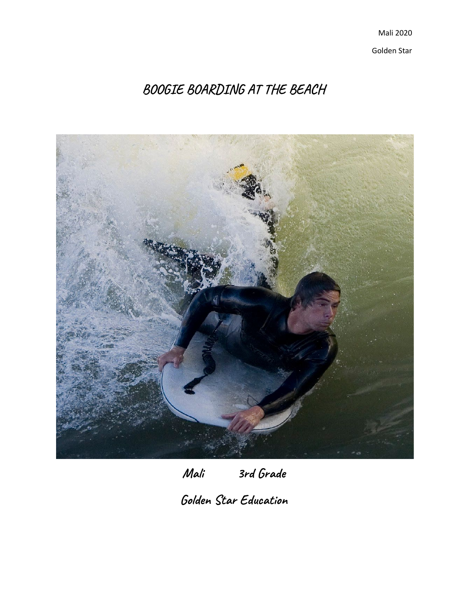Mali 2020 Golden Star

**BOOGIE BOARDING AT THE BEACH**



**Mali 3rd Grade**

**Golden Star Education**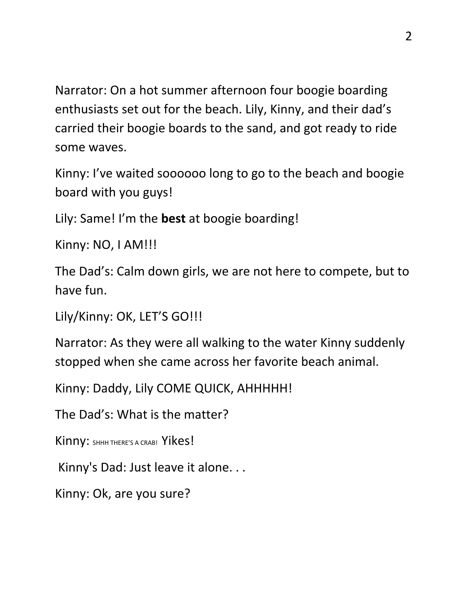Narrator: On a hot summer afternoon four boogie boarding enthusiasts set out for the beach. Lily, Kinny, and their dad's carried their boogie boards to the sand, and got ready to ride some waves.

Kinny: I've waited soooooo long to go to the beach and boogie board with you guys!

Lily: Same! I'm the **best** at boogie boarding!

Kinny: NO, I AM!!!

The Dad's: Calm down girls, we are not here to compete, but to have fun.

Lily/Kinny: OK, LET'S GO!!!

Narrator: As they were all walking to the water Kinny suddenly stopped when she came across her favorite beach animal.

Kinny: Daddy, Lily COME QUICK, AHHHHH!

The Dad's: What is the matter?

Kinny: SHHH THERE'S A CRAB! Yikes!

Kinny's Dad: Just leave it alone. . .

Kinny: Ok, are you sure?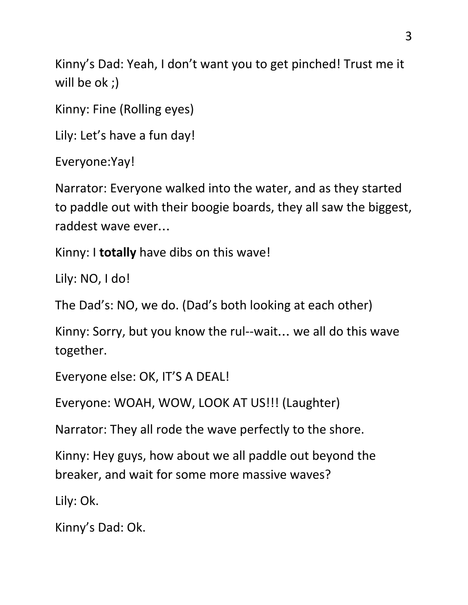Kinny's Dad: Yeah, I don't want you to get pinched! Trust me it will be ok ;)

Kinny: Fine (Rolling eyes)

Lily: Let's have a fun day!

```
Everyone:Yay!
```
Narrator: Everyone walked into the water, and as they started to paddle out with their boogie boards, they all saw the biggest, raddest wave ever…

Kinny: I **totally** have dibs on this wave!

Lily: NO, I do!

The Dad's: NO, we do. (Dad's both looking at each other)

Kinny: Sorry, but you know the rul--wait… we all do this wave together.

Everyone else: OK, IT'S A DEAL!

Everyone: WOAH, WOW, LOOK AT US!!! (Laughter)

Narrator: They all rode the wave perfectly to the shore.

Kinny: Hey guys, how about we all paddle out beyond the breaker, and wait for some more massive waves?

Lily: Ok.

Kinny's Dad: Ok.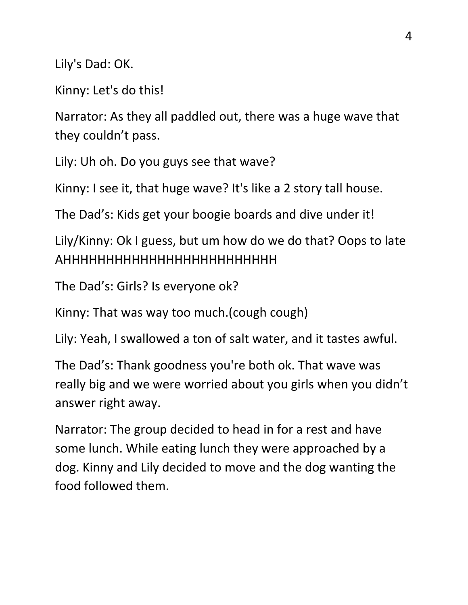Lily's Dad: OK.

Kinny: Let's do this!

Narrator: As they all paddled out, there was a huge wave that they couldn't pass.

Lily: Uh oh. Do you guys see that wave?

Kinny: I see it, that huge wave? It's like a 2 story tall house.

The Dad's: Kids get your boogie boards and dive under it!

Lily/Kinny: Ok I guess, but um how do we do that? Oops to late AHHHHHHHHHHHHHHHHHHHHHHHHH

The Dad's: Girls? Is everyone ok?

Kinny: That was way too much.(cough cough)

Lily: Yeah, I swallowed a ton of salt water, and it tastes awful.

The Dad's: Thank goodness you're both ok. That wave was really big and we were worried about you girls when you didn't answer right away.

Narrator: The group decided to head in for a rest and have some lunch. While eating lunch they were approached by a dog. Kinny and Lily decided to move and the dog wanting the food followed them.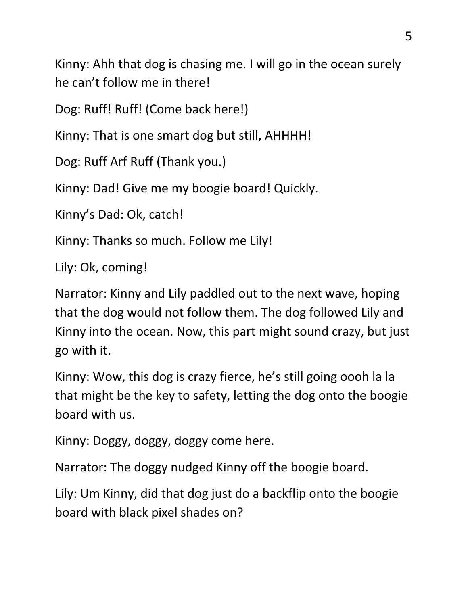Kinny: Ahh that dog is chasing me. I will go in the ocean surely he can't follow me in there!

Dog: Ruff! Ruff! (Come back here!)

Kinny: That is one smart dog but still, AHHHH!

Dog: Ruff Arf Ruff (Thank you.)

Kinny: Dad! Give me my boogie board! Quickly.

Kinny's Dad: Ok, catch!

Kinny: Thanks so much. Follow me Lily!

Lily: Ok, coming!

Narrator: Kinny and Lily paddled out to the next wave, hoping that the dog would not follow them. The dog followed Lily and Kinny into the ocean. Now, this part might sound crazy, but just go with it.

Kinny: Wow, this dog is crazy fierce, he's still going oooh la la that might be the key to safety, letting the dog onto the boogie board with us.

Kinny: Doggy, doggy, doggy come here.

Narrator: The doggy nudged Kinny off the boogie board.

Lily: Um Kinny, did that dog just do a backflip onto the boogie board with black pixel shades on?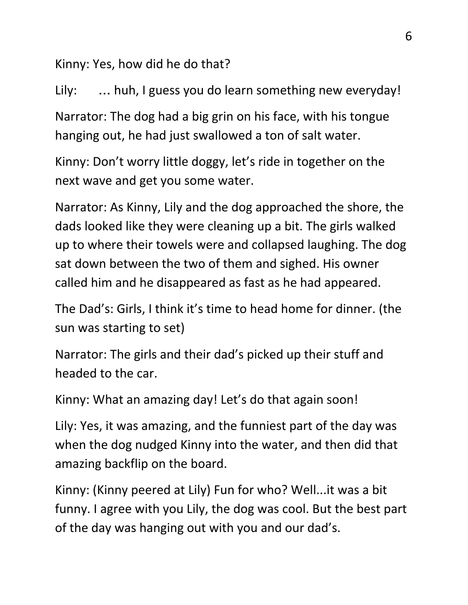Kinny: Yes, how did he do that?

Lily: … huh, I guess you do learn something new everyday!

Narrator: The dog had a big grin on his face, with his tongue hanging out, he had just swallowed a ton of salt water.

Kinny: Don't worry little doggy, let's ride in together on the next wave and get you some water.

Narrator: As Kinny, Lily and the dog approached the shore, the dads looked like they were cleaning up a bit. The girls walked up to where their towels were and collapsed laughing. The dog sat down between the two of them and sighed. His owner called him and he disappeared as fast as he had appeared.

The Dad's: Girls, I think it's time to head home for dinner. (the sun was starting to set)

Narrator: The girls and their dad's picked up their stuff and headed to the car.

Kinny: What an amazing day! Let's do that again soon!

Lily: Yes, it was amazing, and the funniest part of the day was when the dog nudged Kinny into the water, and then did that amazing backflip on the board.

Kinny: (Kinny peered at Lily) Fun for who? Well...it was a bit funny. I agree with you Lily, the dog was cool. But the best part of the day was hanging out with you and our dad's.